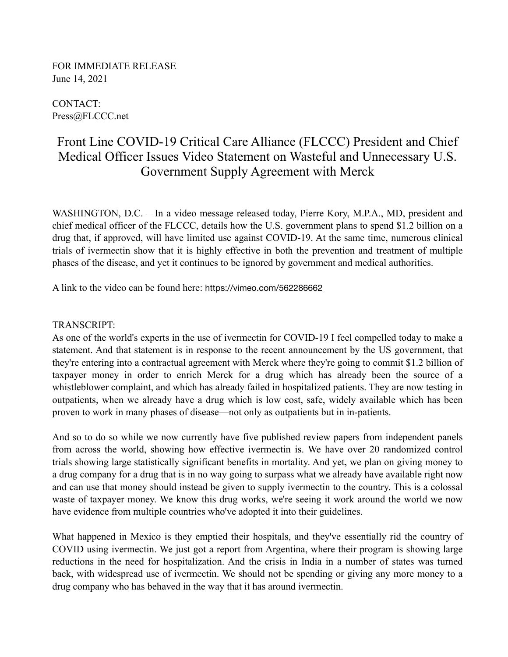FOR IMMEDIATE RELEASE June 14, 2021

CONTACT: Press@FLCCC.net

## Front Line COVID-19 Critical Care Alliance (FLCCC) President and Chief Medical Officer Issues Video Statement on Wasteful and Unnecessary U.S. Government Supply Agreement with Merck

WASHINGTON, D.C. – In a video message released today, Pierre Kory, M.P.A., MD, president and chief medical officer of the FLCCC, details how the U.S. government plans to spend \$1.2 billion on a drug that, if approved, will have limited use against COVID-19. At the same time, numerous clinical trials of ivermectin show that it is highly effective in both the prevention and treatment of multiple phases of the disease, and yet it continues to be ignored by government and medical authorities.

A link to the video can be found here: <https://vimeo.com/562286662>

## TRANSCRIPT:

As one of the world's experts in the use of ivermectin for COVID-19 I feel compelled today to make a statement. And that statement is in response to the recent announcement by the US government, that they're entering into a contractual agreement with Merck where they're going to commit \$1.2 billion of taxpayer money in order to enrich Merck for a drug which has already been the source of a whistleblower complaint, and which has already failed in hospitalized patients. They are now testing in outpatients, when we already have a drug which is low cost, safe, widely available which has been proven to work in many phases of disease—not only as outpatients but in in-patients.

And so to do so while we now currently have five published review papers from independent panels from across the world, showing how effective ivermectin is. We have over 20 randomized control trials showing large statistically significant benefits in mortality. And yet, we plan on giving money to a drug company for a drug that is in no way going to surpass what we already have available right now and can use that money should instead be given to supply ivermectin to the country. This is a colossal waste of taxpayer money. We know this drug works, we're seeing it work around the world we now have evidence from multiple countries who've adopted it into their guidelines.

What happened in Mexico is they emptied their hospitals, and they've essentially rid the country of COVID using ivermectin. We just got a report from Argentina, where their program is showing large reductions in the need for hospitalization. And the crisis in India in a number of states was turned back, with widespread use of ivermectin. We should not be spending or giving any more money to a drug company who has behaved in the way that it has around ivermectin.